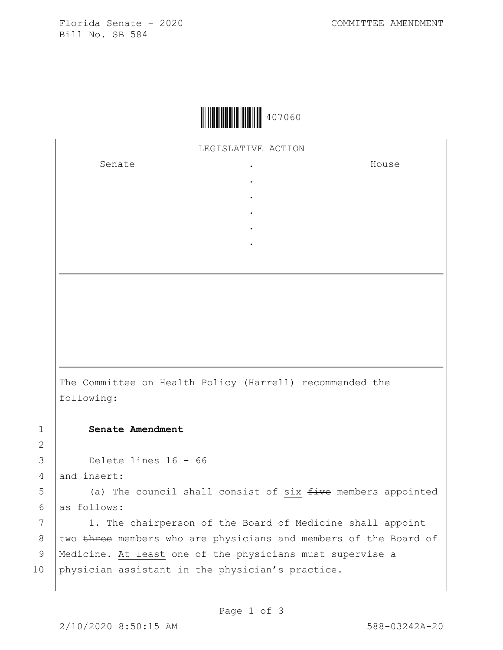Florida Senate - 2020 COMMITTEE AMENDMENT Bill No. SB 584



LEGISLATIVE ACTION

. . . . .

Senate .

House

The Committee on Health Policy (Harrell) recommended the following:

1 **Senate Amendment** 

3 Delete lines 16 - 66

4 and insert:

2

 $5$  (a) The council shall consist of six  $f$ ive members appointed 6 as follows:

7 | 1. The chairperson of the Board of Medicine shall appoint 8 two three members who are physicians and members of the Board of 9 | Medicine. At least one of the physicians must supervise a 10 physician assistant in the physician's practice.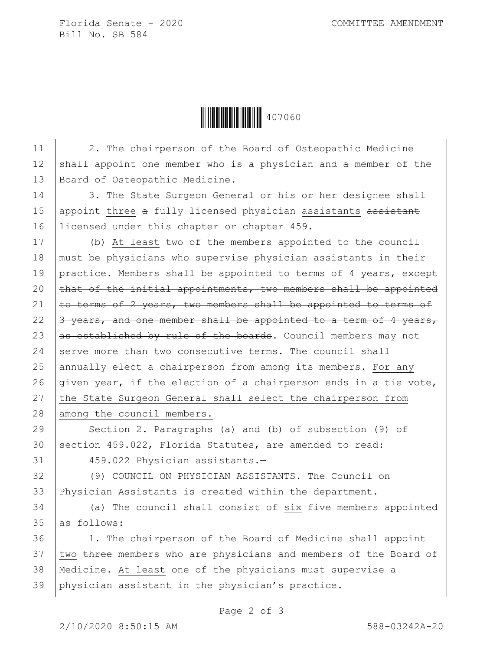Florida Senate - 2020 COMMITTEE AMENDMENT Bill No. SB 584

Ì407060sÎ407060

11 | 2. The chairperson of the Board of Osteopathic Medicine 12 shall appoint one member who is a physician and  $a$  member of the 13 | Board of Osteopathic Medicine.

14 3. The State Surgeon General or his or her designee shall 15 | appoint three a fully licensed physician assistants assistant 16 Iicensed under this chapter or chapter 459.

17 (b) At least two of the members appointed to the council 18 must be physicians who supervise physician assistants in their 19 practice. Members shall be appointed to terms of 4 years $\tau$  except 20  $\theta$  that of the initial appointments, two members shall be appointed 21  $\pm$   $\leftrightarrow$  terms of 2 years, two members shall be appointed to terms of 22  $\left|3\right\rangle$  years, and one member shall be appointed to a term of 4 years, 23  $\beta$  as established by rule of the boards. Council members may not 24 serve more than two consecutive terms. The council shall 25 annually elect a chairperson from among its members. For any 26 given year, if the election of a chairperson ends in a tie vote, 27 the State Surgeon General shall select the chairperson from 28 among the council members.

29 Section 2. Paragraphs (a) and (b) of subsection (9) of 30 section 459.022, Florida Statutes, are amended to read: 31 459.022 Physician assistants.-

32 (9) COUNCIL ON PHYSICIAN ASSISTANTS.—The Council on 33 Physician Assistants is created within the department.

 $34$  (a) The council shall consist of six  $f$  ive members appointed 35 as follows:

 1. The chairperson of the Board of Medicine shall appoint 37 two three members who are physicians and members of the Board of Medicine. At least one of the physicians must supervise a physician assistant in the physician's practice.

Page 2 of 3